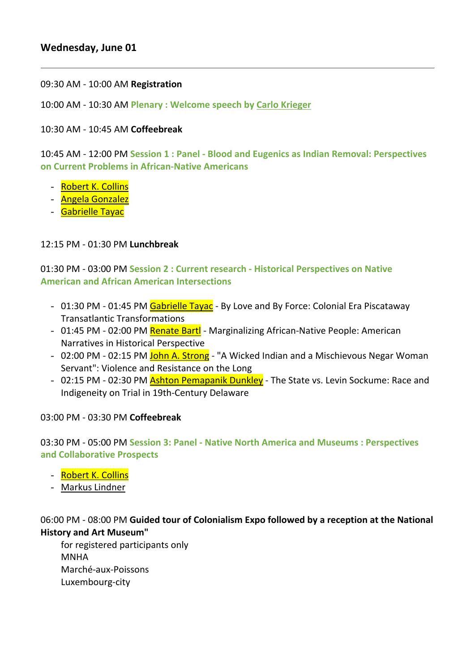# **Wednesday, June 01**

09:30 AM - 10:00 AM **Registration**

10:00 AM - 10:30 AM **Plenary : Welcome speech by Carlo Krieger**

10:30 AM - 10:45 AM **Coffeebreak**

- Robert K. Collins
- Angela Gonzalez
- Gabrielle Tayac

10:45 AM - 12:00 PM **Session 1 : Panel - Blood and Eugenics as Indian Removal: Perspectives on Current Problems in African-Native Americans**

### 12:15 PM - 01:30 PM **Lunchbreak**

01:30 PM - 03:00 PM **Session 2 : Current research - Historical Perspectives on Native American and African American Intersections**

- 01:30 PM 01:45 PM Gabrielle Tayac By Love and By Force: Colonial Era Piscataway Transatlantic Transformations
- 01:45 PM 02:00 PM Renate Bartl Marginalizing African-Native People: American Narratives in Historical Perspective
- 02:00 PM 02:15 PM John A. Strong "A Wicked Indian and a Mischievous Negar Woman Servant": Violence and Resistance on the Long
- 02:15 PM 02:30 PM **Ashton Pemapanik Dunkley** The State vs. Levin Sockume: Race and Indigeneity on Trial in 19th-Century Delaware

- Robert K. Collins
- Markus Lindner

03:00 PM - 03:30 PM **Coffeebreak**

03:30 PM - 05:00 PM **Session 3: Panel - Native North America and Museums : Perspectives and Collaborative Prospects**

06:00 PM - 08:00 PM **Guided tour of Colonialism Expo followed by a reception at the National History and Art Museum"**

for registered participants only MNHA Marché-aux-Poissons Luxembourg-city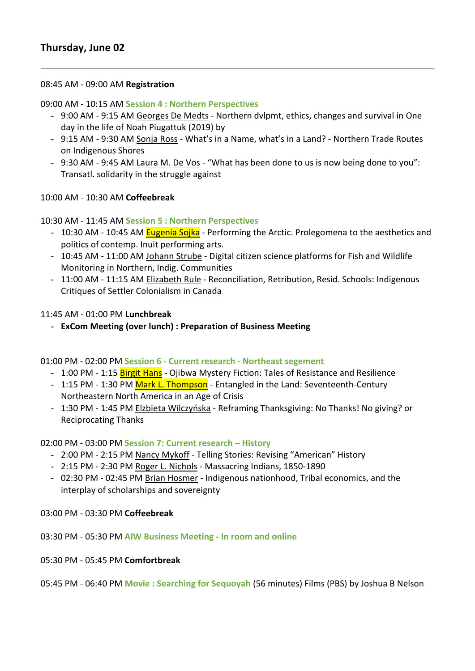## 08:45 AM - 09:00 AM **Registration**

### 09:00 AM - 10:15 AM **Session 4 : Northern Perspectives**

- 9:00 AM 9:15 AM Georges De Medts Northern dvlpmt, ethics, changes and survival in One day in the life of Noah Piugattuk (2019) by
- 9:15 AM 9:30 AM Sonja Ross What's in a Name, what's in a Land? Northern Trade Routes on Indigenous Shores
- 9:30 AM 9:45 AM Laura M. De Vos "What has been done to us is now being done to you": Transatl. solidarity in the struggle against

- 10:30 AM 10:45 AM **Eugenia Sojka** Performing the Arctic. Prolegomena to the aesthetics and politics of contemp. Inuit performing arts.
- 10:45 AM 11:00 AM Johann Strube Digital citizen science platforms for Fish and Wildlife Monitoring in Northern, Indig. Communities
- 11:00 AM 11:15 AM Elizabeth Rule Reconciliation, Retribution, Resid. Schools: Indigenous Critiques of Settler Colonialism in Canada

10:00 AM - 10:30 AM **Coffeebreak**

### 10:30 AM - 11:45 AM **Session 5 : Northern Perspectives**

- 1:00 PM 1:15 **Birgit Hans** Ojibwa Mystery Fiction: Tales of Resistance and Resilience
- 1:15 PM 1:30 PM Mark L. Thompson Entangled in the Land: Seventeenth-Century Northeastern North America in an Age of Crisis
- 1:30 PM 1:45 PM Elzbieta Wilczyńska Reframing Thanksgiving: No Thanks! No giving? or Reciprocating Thanks

- 2:00 PM 2:15 PM Nancy Mykoff Telling Stories: Revising "American" History
- 2:15 PM 2:30 PM Roger L. Nichols Massacring Indians, 1850-1890
- 02:30 PM 02:45 PM Brian Hosmer Indigenous nationhood, Tribal economics, and the interplay of scholarships and sovereignty

11:45 AM - 01:00 PM **Lunchbreak**

- **ExCom Meeting (over lunch) : Preparation of Business Meeting**

01:00 PM - 02:00 PM **Session 6 - Current research - Northeast segement**

### 02:00 PM - 03:00 PM **Session 7: Current research – History**

03:00 PM - 03:30 PM **Coffeebreak**

03:30 PM - 05:30 PM **AIW Business Meeting - In room and online**

05:30 PM - 05:45 PM **Comfortbreak**

05:45 PM - 06:40 PM **Movie : Searching for Sequoyah** (56 minutes) Films (PBS) by Joshua B Nelson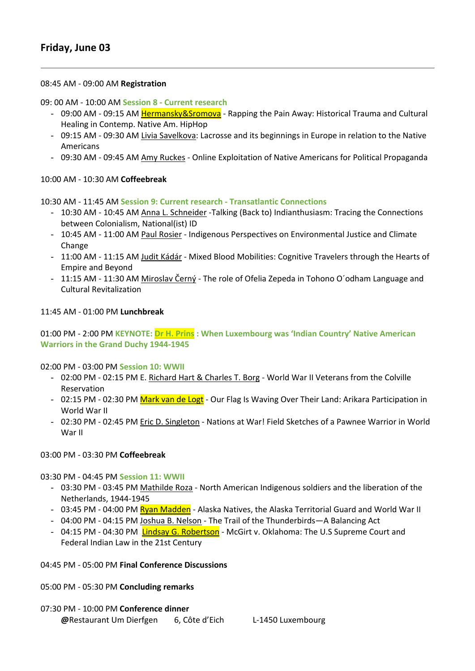# **Friday, June 03**

#### 08:45 AM - 09:00 AM **Registration**

09: 00 AM - 10:00 AM **Session 8 - Current research**

- 09:00 AM 09:15 AM Hermansky&Sromova Rapping the Pain Away: Historical Trauma and Cultural Healing in Contemp. Native Am. HipHop
- 09:15 AM 09:30 AM Livia Savelkova: Lacrosse and its beginnings in Europe in relation to the Native Americans
- 09:30 AM 09:45 AM Amy Ruckes Online Exploitation of Native Americans for Political Propaganda

#### 10:00 AM - 10:30 AM **Coffeebreak**

10:30 AM - 11:45 AM **Session 9: Current research - Transatlantic Connections**

- 02:00 PM 02:15 PM E. Richard Hart & Charles T. Borg World War II Veterans from the Colville Reservation
- 02:15 PM 02:30 PM Mark van de Logt Our Flag Is Waving Over Their Land: Arikara Participation in World War II
- 02:30 PM 02:45 PM Eric D. Singleton Nations at War! Field Sketches of a Pawnee Warrior in World War II
- 10:30 AM 10:45 AM Anna L. Schneider -Talking (Back to) Indianthusiasm: Tracing the Connections between Colonialism, National(ist) ID
- 10:45 AM 11:00 AM Paul Rosier Indigenous Perspectives on Environmental Justice and Climate Change
- 11:00 AM 11:15 AM Judit Kádár Mixed Blood Mobilities: Cognitive Travelers through the Hearts of Empire and Beyond
- 11:15 AM 11:30 AM Miroslav Černý The role of Ofelia Zepeda in Tohono O´odham Language and Cultural Revitalization

11:45 AM - 01:00 PM **Lunchbreak**

## 01:00 PM - 2:00 PM **KEYNOTE: Dr H. Prins : When Luxembourg was 'Indian Country' Native American Warriors in the Grand Duchy 1944-1945**

02:00 PM - 03:00 PM **Session 10: WWII** 

#### 03:00 PM - 03:30 PM **Coffeebreak**

03:30 PM - 04:45 PM **Session 11: WWII**

- 03:30 PM 03:45 PM Mathilde Roza North American Indigenous soldiers and the liberation of the Netherlands, 1944-1945
- 03:45 PM 04:00 PM **Ryan Madden** Alaska Natives, the Alaska Territorial Guard and World War II
- 04:00 PM 04:15 PM Joshua B. Nelson The Trail of the Thunderbirds—A Balancing Act
- 04:15 PM 04:30 PM Lindsay G. Robertson McGirt v. Oklahoma: The U.S Supreme Court and Federal Indian Law in the 21st Century

04:45 PM - 05:00 PM **Final Conference Discussions**

05:00 PM - 05:30 PM **Concluding remarks**

07:30 PM - 10:00 PM **Conference dinner @**Restaurant Um Dierfgen 6, Côte d'Eich L-1450 Luxembourg